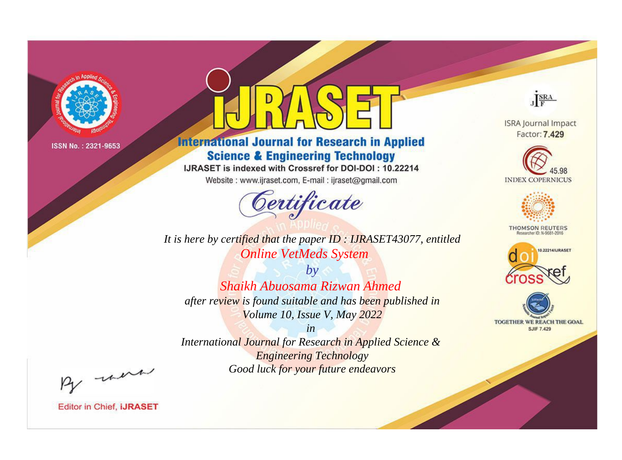

# **International Journal for Research in Applied Science & Engineering Technology**

IJRASET is indexed with Crossref for DOI-DOI: 10.22214

Website: www.ijraset.com, E-mail: ijraset@gmail.com



JERA

**ISRA Journal Impact** Factor: 7.429





**THOMSON REUTERS** 



TOGETHER WE REACH THE GOAL **SJIF 7.429** 

*It is here by certified that the paper ID : IJRASET43077, entitled Online VetMeds System*

*by Shaikh Abuosama Rizwan Ahmed after review is found suitable and has been published in Volume 10, Issue V, May 2022*

*in* 

*International Journal for Research in Applied Science & Engineering Technology Good luck for your future endeavors*

By morn

**Editor in Chief, IJRASET**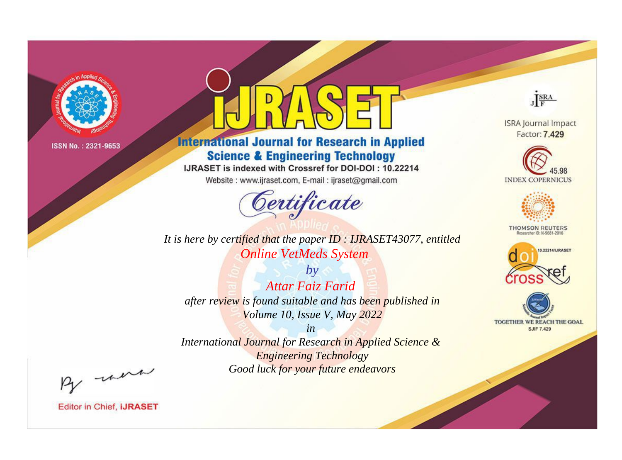

# **International Journal for Research in Applied Science & Engineering Technology**

IJRASET is indexed with Crossref for DOI-DOI: 10.22214

Website: www.ijraset.com, E-mail: ijraset@gmail.com



*It is here by certified that the paper ID : IJRASET43077, entitled Online VetMeds System*

*by Attar Faiz Farid after review is found suitable and has been published in Volume 10, Issue V, May 2022*

*in International Journal for Research in Applied Science & Engineering Technology Good luck for your future endeavors*



**Editor in Chief, IJRASET** 

**ISRA Journal Impact** Factor: 7.429

JERA





**THOMSON REUTERS** 



TOGETHER WE REACH THE GOAL **SJIF 7.429**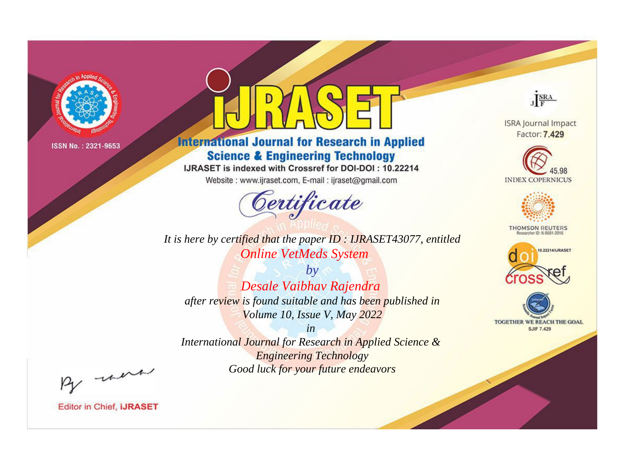

# **International Journal for Research in Applied Science & Engineering Technology**

IJRASET is indexed with Crossref for DOI-DOI: 10.22214

Website: www.ijraset.com, E-mail: ijraset@gmail.com



JERA

**ISRA Journal Impact** Factor: 7.429





**THOMSON REUTERS** 



TOGETHER WE REACH THE GOAL **SJIF 7.429** 

*It is here by certified that the paper ID : IJRASET43077, entitled Online VetMeds System*

*by Desale Vaibhav Rajendra after review is found suitable and has been published in Volume 10, Issue V, May 2022*

*in* 

*International Journal for Research in Applied Science & Engineering Technology Good luck for your future endeavors*

By morn

**Editor in Chief, IJRASET**